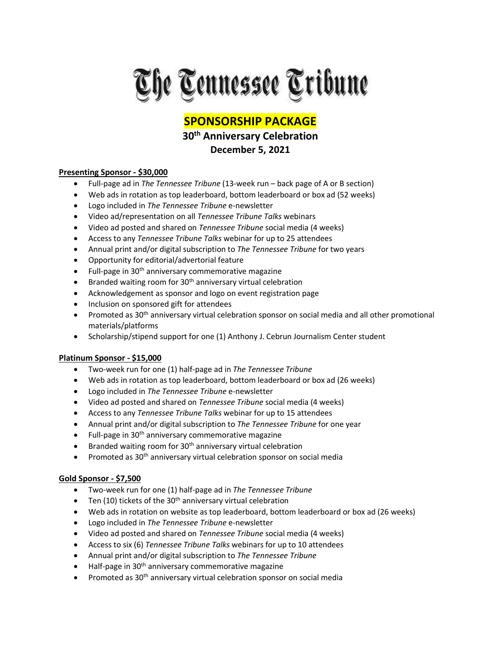

# **SPONSORSHIP PACKAGE**

# **30th Anniversary Celebration December 5, 2021**

## **Presenting Sponsor - \$30,000**

- Full-page ad in *The Tennessee Tribune* (13-week run back page of A or B section)
- Web ads in rotation as top leaderboard, bottom leaderboard or box ad (52 weeks)
- Logo included in *The Tennessee Tribune* e-newsletter
- Video ad/representation on all *Tennessee Tribune Talks* webinars
- Video ad posted and shared on *Tennessee Tribune* social media (4 weeks)
- Access to any *Tennessee Tribune Talks* webinar for up to 25 attendees
- Annual print and/or digital subscription to *The Tennessee Tribune* for two years
- Opportunity for editorial/advertorial feature
- Full-page in 30<sup>th</sup> anniversary commemorative magazine
- Branded waiting room for  $30<sup>th</sup>$  anniversary virtual celebration
- Acknowledgement as sponsor and logo on event registration page
- Inclusion on sponsored gift for attendees
- Promoted as 30<sup>th</sup> anniversary virtual celebration sponsor on social media and all other promotional materials/platforms
- Scholarship/stipend support for one (1) Anthony J. Cebrun Journalism Center student

## **Platinum Sponsor - \$15,000**

- Two-week run for one (1) half-page ad in *The Tennessee Tribune*
- Web ads in rotation as top leaderboard, bottom leaderboard or box ad (26 weeks)
- Logo included in *The Tennessee Tribune* e-newsletter
- Video ad posted and shared on *Tennessee Tribune* social media (4 weeks)
- Access to any *Tennessee Tribune Talks* webinar for up to 15 attendees
- Annual print and/or digital subscription to *The Tennessee Tribune* for one year
- Full-page in 30<sup>th</sup> anniversary commemorative magazine
- Branded waiting room for 30<sup>th</sup> anniversary virtual celebration
- Promoted as  $30<sup>th</sup>$  anniversary virtual celebration sponsor on social media

## **Gold Sponsor - \$7,500**

- Two-week run for one (1) half-page ad in *The Tennessee Tribune*
- Ten (10) tickets of the  $30<sup>th</sup>$  anniversary virtual celebration
- Web ads in rotation on website as top leaderboard, bottom leaderboard or box ad (26 weeks)
- Logo included in *The Tennessee Tribune* e-newsletter
- Video ad posted and shared on *Tennessee Tribune* social media (4 weeks)
- Access to six (6) *Tennessee Tribune Talks* webinars for up to 10 attendees
- Annual print and/or digital subscription to *The Tennessee Tribune*
- Half-page in 30<sup>th</sup> anniversary commemorative magazine
- Promoted as 30<sup>th</sup> anniversary virtual celebration sponsor on social media